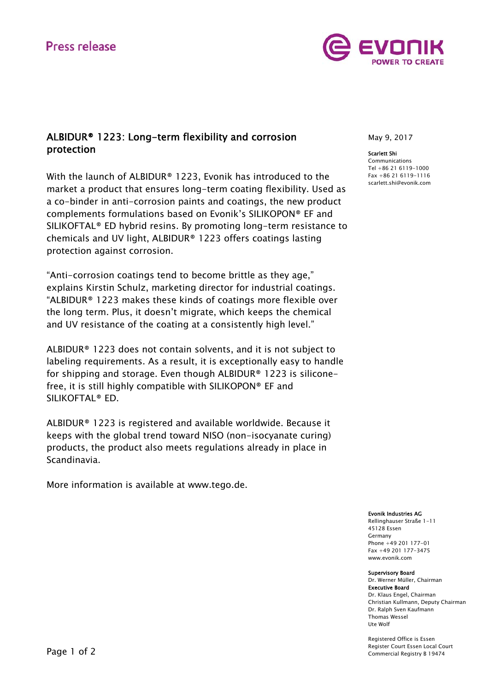# **Press release**



# ALBIDUR® 1223: Long-term flexibility and corrosion protection

With the launch of ALBIDUR® 1223, Evonik has introduced to the market a product that ensures long-term coating flexibility. Used as a co-binder in anti-corrosion paints and coatings, the new product complements formulations based on Evonik's SILIKOPON® EF and SILIKOFTAL® ED hybrid resins. By promoting long-term resistance to chemicals and UV light, ALBIDUR® 1223 offers coatings lasting protection against corrosion.

"Anti-corrosion coatings tend to become brittle as they age," explains Kirstin Schulz, marketing director for industrial coatings. "ALBIDUR® 1223 makes these kinds of coatings more flexible over the long term. Plus, it doesn't migrate, which keeps the chemical and UV resistance of the coating at a consistently high level."

ALBIDUR® 1223 does not contain solvents, and it is not subject to labeling requirements. As a result, it is exceptionally easy to handle for shipping and storage. Even though ALBIDUR® 1223 is siliconefree, it is still highly compatible with SILIKOPON® EF and SILIKOFTAL® ED.

ALBIDUR® 1223 is registered and available worldwide. Because it keeps with the global trend toward NISO (non-isocyanate curing) products, the product also meets regulations already in place in Scandinavia.

More information is available at www.tego.de.

May 9, 2017

#### Scarlett Shi

Communications Tel +86 21 6119-1000 Fax +86 21 6119-1116 scarlett.shi@evonik.com

## Evonik Industries AG

Rellinghauser Straße 1-11 45128 Essen Germany Phone +49 201 177-01 Fax +49 201 177-3475 www.evonik.com

#### Supervisory Board

Dr. Werner Müller, Chairman Executive Board Dr. Klaus Engel, Chairman Christian Kullmann, Deputy Chairman Dr. Ralph Sven Kaufmann Thomas Wessel Ute Wolf

Registered Office is Essen Register Court Essen Local Court Commercial Registry B 19474